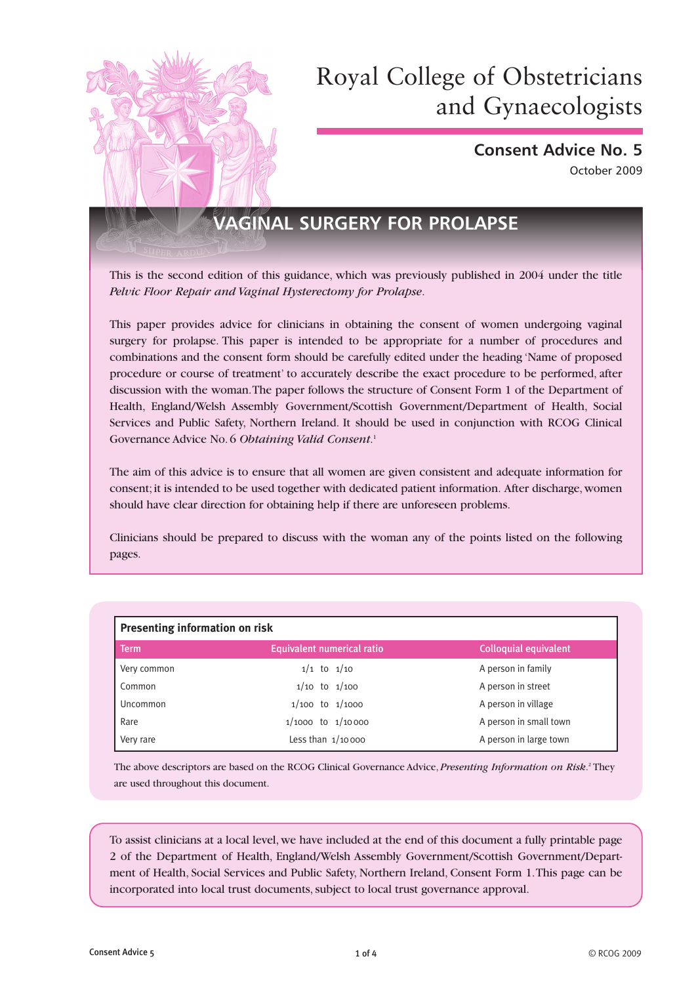

**Consent Advice No. 5** October 2009

# **VAGINAL SURGERY FOR PROLAPSE**

This is the second edition of this guidance, which was previously published in 2004 under the title *Pelvic Floor Repair and Vaginal Hysterectomy for Prolapse*.

This paper provides advice for clinicians in obtaining the consent of women undergoing vaginal surgery for prolapse. This paper is intended to be appropriate for a number of procedures and combinations and the consent form should be carefully edited under the heading 'Name of proposed procedure or course of treatment' to accurately describe the exact procedure to be performed, after discussion with the woman. The paper follows the structure of Consent Form 1 of the Department of Health, England/Welsh Assembly Government/Scottish Government/Department of Health, Social Services and Public Safety, Northern Ireland. It should be used in conjunction with RCOG Clinical Governance Advice No. 6 *Obtaining Valid Consent*. 1

The aim of this advice is to ensure that all women are given consistent and adequate information for consent; it is intended to be used together with dedicated patient information. After discharge, women should have clear direction for obtaining help if there are unforeseen problems.

Clinicians should be prepared to discuss with the woman any of the points listed on the following pages.

| <b>Presenting information on risk</b> |                                   |                              |  |  |
|---------------------------------------|-----------------------------------|------------------------------|--|--|
| <b>Term</b>                           | <b>Equivalent numerical ratio</b> | <b>Colloquial equivalent</b> |  |  |
| Very common                           | $1/1$ to $1/10$                   | A person in family           |  |  |
| Common                                | $1/10$ to $1/100$                 | A person in street           |  |  |
| Uncommon                              | $1/100$ to $1/1000$               | A person in village          |  |  |
| Rare                                  | $1/1000$ to $1/10000$             | A person in small town       |  |  |
| Very rare                             | Less than $1/10000$               | A person in large town       |  |  |

The above descriptors are based on the RCOG Clinical Governance Advice, *Presenting Information on Risk*. 2 They are used throughout this document.

To assist clinicians at a local level, we have included at the end of this document a fully printable page 2 of the Department of Health, England/Welsh Assembly Government/Scottish Government/Department of Health, Social Services and Public Safety, Northern Ireland, Consent Form 1. This page can be incorporated into local trust documents, subject to local trust governance approval.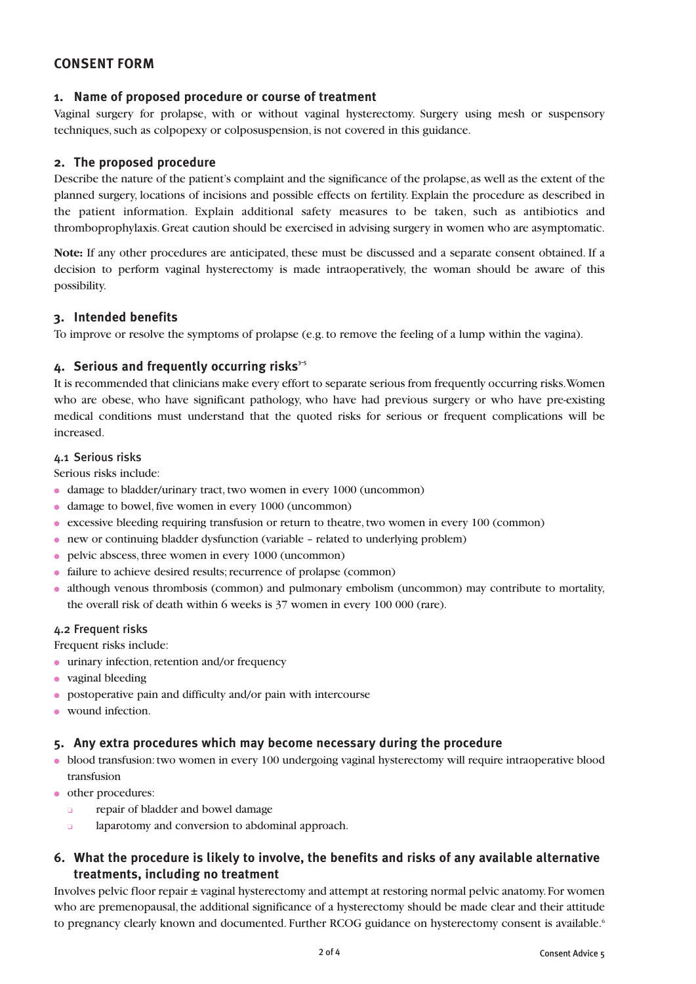## **CONSENT FORM**

#### **1. Name of proposed procedure or course of treatment**

Vaginal surgery for prolapse, with or without vaginal hysterectomy. Surgery using mesh or suspensory techniques, such as colpopexy or colposuspension, is not covered in this guidance.

#### **2. The proposed procedure**

Describe the nature of the patient's complaint and the significance of the prolapse, as well as the extent of the planned surgery, locations of incisions and possible effects on fertility. Explain the procedure as described in the patient information. Explain additional safety measures to be taken, such as antibiotics and thromboprophylaxis. Great caution should be exercised in advising surgery in women who are asymptomatic.

**Note:** If any other procedures are anticipated, these must be discussed and a separate consent obtained. If a decision to perform vaginal hysterectomy is made intraoperatively, the woman should be aware of this possibility.

#### **3. Intended benefits**

To improve or resolve the symptoms of prolapse (e.g. to remove the feeling of a lump within the vagina).

#### 4. Serious and frequently occurring risks<sup>35</sup>

It is recommended that clinicians make every effort to separate serious from frequently occurring risks. Women who are obese, who have significant pathology, who have had previous surgery or who have pre-existing medical conditions must understand that the quoted risks for serious or frequent complications will be increased.

#### 4.1 Serious risks

Serious risks include:

- damage to bladder/urinary tract, two women in every 1000 (uncommon)
- damage to bowel, five women in every 1000 (uncommon)
- excessive bleeding requiring transfusion or return to theatre, two women in every 100 (common)
- new or continuing bladder dysfunction (variable related to underlying problem)
- pelvic abscess, three women in every 1000 (uncommon)
- failure to achieve desired results; recurrence of prolapse (common)
- although venous thrombosis (common) and pulmonary embolism (uncommon) may contribute to mortality, the overall risk of death within 6 weeks is 37 women in every 100 000 (rare).

#### 4.2 Frequent risks

Frequent risks include:

- urinary infection, retention and/or frequency
- vaginal bleeding
- postoperative pain and difficulty and/or pain with intercourse
- wound infection.

#### **5. Any extra procedures which may become necessary during the procedure**

- blood transfusion: two women in every 100 undergoing vaginal hysterectomy will require intraoperative blood transfusion
- other procedures:
	- ❏ repair of bladder and bowel damage
	- ❏ laparotomy and conversion to abdominal approach.

## **6. What the procedure is likely to involve, the benefits and risks of any available alternative treatments, including no treatment**

Involves pelvic floor repair ± vaginal hysterectomy and attempt at restoring normal pelvic anatomy. For women who are premenopausal, the additional significance of a hysterectomy should be made clear and their attitude to pregnancy clearly known and documented. Further RCOG guidance on hysterectomy consent is available.<sup>6</sup>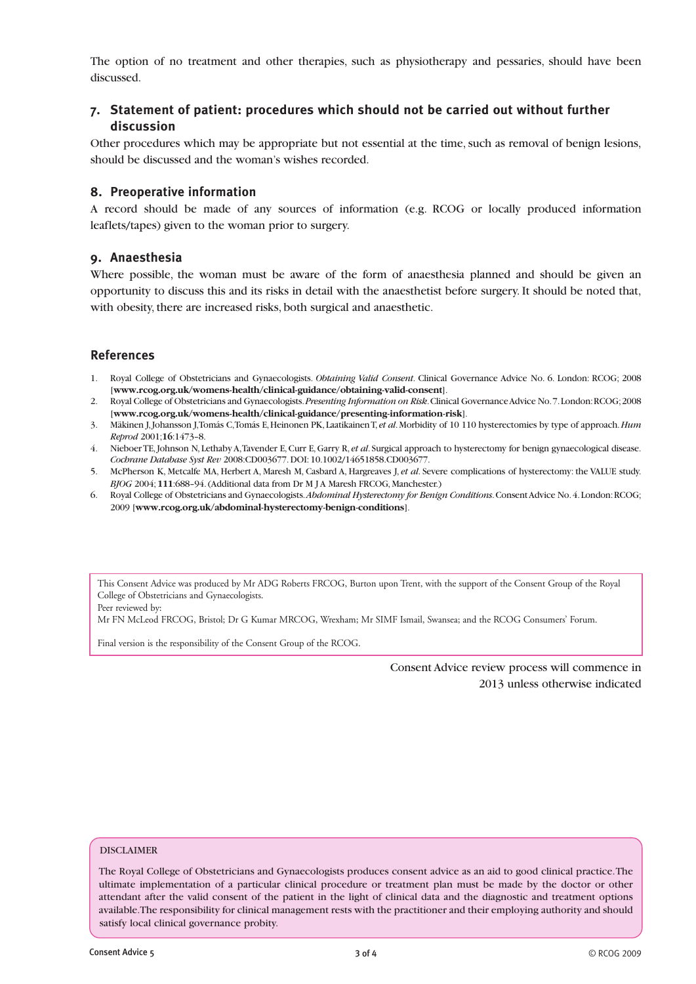The option of no treatment and other therapies, such as physiotherapy and pessaries, should have been discussed.

### **7. Statement of patient: procedures which should not be carried out without further discussion**

Other procedures which may be appropriate but not essential at the time, such as removal of benign lesions, should be discussed and the woman's wishes recorded.

#### **8. Preoperative information**

A record should be made of any sources of information (e.g. RCOG or locally produced information leaflets/tapes) given to the woman prior to surgery.

#### **9. Anaesthesia**

Where possible, the woman must be aware of the form of anaesthesia planned and should be given an opportunity to discuss this and its risks in detail with the anaesthetist before surgery. It should be noted that, with obesity, there are increased risks, both surgical and anaesthetic.

#### **References**

- 1. Royal College of Obstetricians and Gynaecologists. *Obtaining Valid Consent*. Clinical Governance Advice No. 6. London: RCOG; 2008 [**www.rcog.org.uk/womens-health/clinical-guidance/obtaining-valid-consent**].
- 2. Royal College of Obstetricians and Gynaecologists. *Presenting Information on Risk*. Clinical Governance Advice No. 7. London: RCOG; 2008 [**www.rcog.org.uk/womens-health/clinical-guidance/presenting-information-risk**].
- 3. Mäkinen J, Johansson J, Tomás C, Tomás E, Heinonen PK, Laatikainen T, *et al*. Morbidity of 10 110 hysterectomies by type of approach. *Hum Reprod* 2001;**16**:1473–8.
- 4. Nieboer TE, Johnson N, Lethaby A, Tavender E, Curr E, Garry R, *et al*. Surgical approach to hysterectomy for benign gynaecological disease. *Cochrane Database Syst Rev* 2008:CD003677. DOI: 10.1002/14651858.CD003677.
- 5. McPherson K, Metcalfe MA, Herbert A, Maresh M, Casbard A, Hargreaves J, *et al*. Severe complications of hysterectomy: the VALUE study. *BJOG* 2004; **111**:688–94. (Additional data from Dr M J A Maresh FRCOG, Manchester.)
- 6. Royal College of Obstetricians and Gynaecologists. *Abdominal Hysterectomy for Benign Conditions*. Consent Advice No. 4. London: RCOG; 2009 [**www.rcog.org.uk/abdominal-hysterectomy-benign-conditions**].

This Consent Advice was produced by Mr ADG Roberts FRCOG, Burton upon Trent, with the support of the Consent Group of the Royal College of Obstetricians and Gynaecologists.

Peer reviewed by:

Mr FN McLeod FRCOG, Bristol; Dr G Kumar MRCOG, Wrexham; Mr SIMF Ismail, Swansea; and the RCOG Consumers' Forum.

Final version is the responsibility of the Consent Group of the RCOG.

Consent Advice review process will commence in 2013 unless otherwise indicated

#### DISCLAIMER

The Royal College of Obstetricians and Gynaecologists produces consent advice as an aid to good clinical practice. The ultimate implementation of a particular clinical procedure or treatment plan must be made by the doctor or other attendant after the valid consent of the patient in the light of clinical data and the diagnostic and treatment options available. The responsibility for clinical management rests with the practitioner and their employing authority and should satisfy local clinical governance probity.